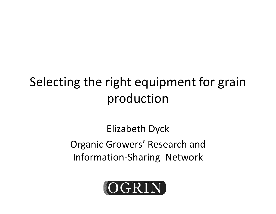## Selecting the right equipment for grain production

### Elizabeth Dyck Organic Growers' Research and Information-Sharing Network

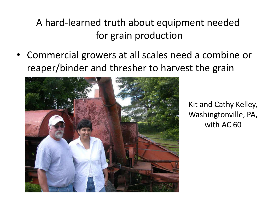### A hard-learned truth about equipment needed for grain production

• Commercial growers at all scales need a combine or reaper/binder and thresher to harvest the grain



Kit and Cathy Kelley, Washingtonville, PA, with AC 60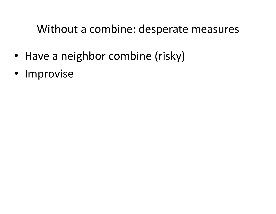Without a combine: desperate measures

- Have a neighbor combine (risky)
- Improvise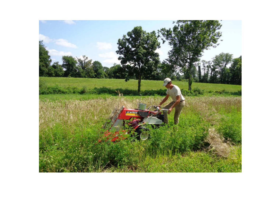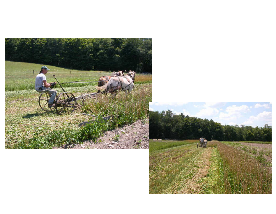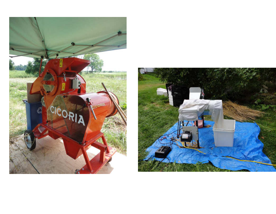

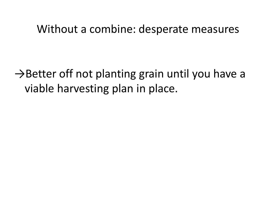#### Without a combine: desperate measures

 $\rightarrow$ Better off not planting grain until you have a viable harvesting plan in place.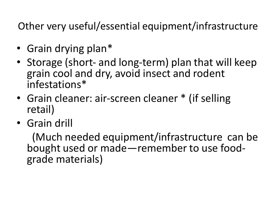Other very useful/essential equipment/infrastructure

- Grain drying plan<sup>\*</sup>
- Storage (short- and long-term) plan that will keep grain cool and dry, avoid insect and rodent infestations\*
- Grain cleaner: air-screen cleaner \* (if selling retail)
- Grain drill

(Much needed equipment/infrastructure can be bought used or made—remember to use foodgrade materials)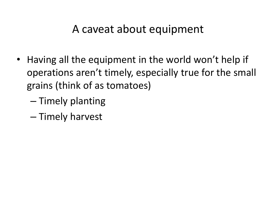### A caveat about equipment

- Having all the equipment in the world won't help if operations aren't timely, especially true for the small grains (think of as tomatoes)
	- Timely planting
	- Timely harvest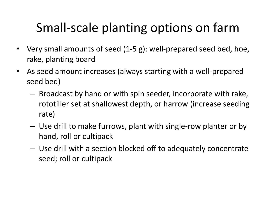# Small-scale planting options on farm

- Very small amounts of seed (1-5 g): well-prepared seed bed, hoe, rake, planting board
- As seed amount increases (always starting with a well-prepared seed bed)
	- Broadcast by hand or with spin seeder, incorporate with rake, rototiller set at shallowest depth, or harrow (increase seeding rate)
	- Use drill to make furrows, plant with single-row planter or by hand, roll or cultipack
	- Use drill with a section blocked off to adequately concentrate seed; roll or cultipack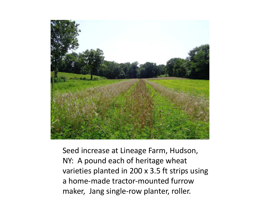

Seed increase at Lineage Farm, Hudson, NY: A pound each of heritage wheat varieties planted in 200 x 3.5 ft strips using a home-made tractor-mounted furrow maker, Jang single-row planter, roller.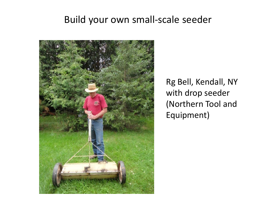#### Build your own small-scale seeder



Rg Bell, Kendall, NY with drop seeder (Northern Tool and Equipment)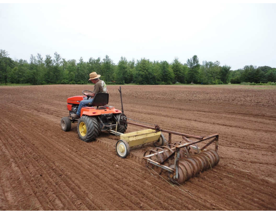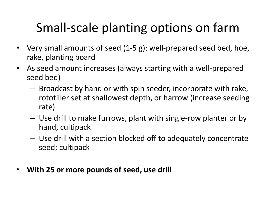# Small-scale planting options on farm

- Very small amounts of seed (1-5 g): well-prepared seed bed, hoe, rake, planting board
- As seed amount increases (always starting with a well-prepared seed bed)
	- Broadcast by hand or with spin seeder, incorporate with rake, rototiller set at shallowest depth, or harrow (increase seeding rate)
	- Use drill to make furrows, plant with single-row planter or by hand, cultipack
	- Use drill with a section blocked off to adequately concentrate seed; cultipack
- **With 25 or more pounds of seed, use drill**